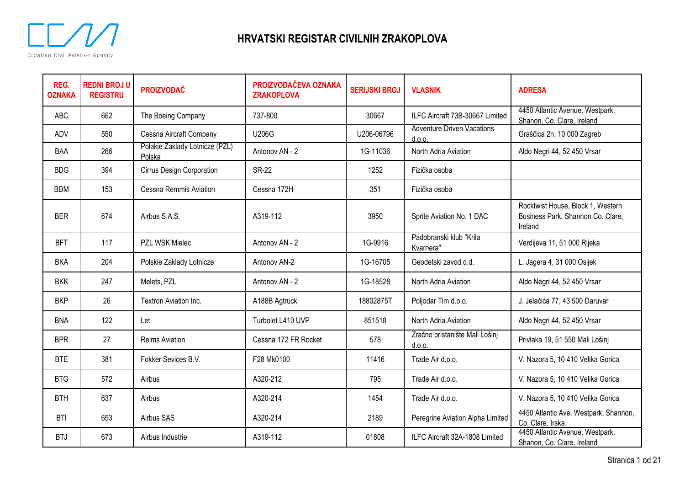

| REG.<br><b>OZNAKA</b> | <b>REDNI BROJ U</b><br><b>REGISTRU</b> | <b>PROIZVOĐAČ</b>                        | PROIZVOĐAČEVA OZNAKA<br><b>ZRAKOPLOVA</b> | <b>SERIJSKI BROJ</b> | <b>VLASNIK</b>                              | <b>ADRESA</b>                                                                     |
|-----------------------|----------------------------------------|------------------------------------------|-------------------------------------------|----------------------|---------------------------------------------|-----------------------------------------------------------------------------------|
| <b>ABC</b>            | 662                                    | The Boeing Company                       | 737-800                                   | 30667                | ILFC Aircraft 73B-30667 Limited             | 4450 Atlantic Avenue, Westpark,<br>Shanon, Co. Clare, Ireland                     |
| <b>ADV</b>            | 550                                    | Cessna Aircraft Company                  | <b>U206G</b>                              | U206-06796           | <b>Adventure Driven Vacations</b><br>d.o.o. | Graščica 2n, 10 000 Zagreb                                                        |
| BAA                   | 266                                    | Polakie Zaklady Lotnicze (PZL)<br>Polska | Antonov AN - 2                            | 1G-11036             | North Adria Aviation                        | Aldo Negri 44, 52 450 Vrsar                                                       |
| <b>BDG</b>            | 394                                    | Cirrus Design Corporation                | <b>SR-22</b>                              | 1252                 | Fizička osoba                               |                                                                                   |
| <b>BDM</b>            | 153                                    | Cessna Remmis Aviation                   | Cessna 172H                               | 351                  | Fizička osoba                               |                                                                                   |
| <b>BER</b>            | 674                                    | Airbus S.A.S.                            | A319-112                                  | 3950                 | Sprite Aviation No. 1 DAC                   | Rocktwist House, Block 1, Western<br>Business Park, Shannon Co. Clare,<br>Ireland |
| <b>BFT</b>            | 117                                    | PZL WSK Mielec                           | Antonov AN - 2                            | 1G-9916              | Padobranski klub "Krila<br>Kvarnera"        | Verdijeva 11, 51 000 Rijeka                                                       |
| <b>BKA</b>            | 204                                    | Polskie Zaklady Lotnicze                 | Antonov AN-2                              | 1G-16705             | Geodetski zavod d.d.                        | L. Jagera 4, 31 000 Osijek                                                        |
| <b>BKK</b>            | 247                                    | Melets, PZL                              | Antonov AN - 2                            | 1G-18528             | North Adria Aviation                        | Aldo Negri 44, 52 450 Vrsar                                                       |
| <b>BKP</b>            | 26                                     | Textron Aviation Inc.                    | A188B Agtruck                             | 18802875T            | Poljodar Tim d.o.o.                         | J. Jelačića 77, 43 500 Daruvar                                                    |
| <b>BNA</b>            | 122                                    | Let                                      | Turbolet L410 UVP                         | 851518               | North Adria Aviation                        | Aldo Negri 44, 52 450 Vrsar                                                       |
| <b>BPR</b>            | 27                                     | <b>Reims Aviation</b>                    | Cessna 172 FR Rocket                      | 578                  | Zračno pristanište Mali Lošinj<br>d.o.o.    | Privlaka 19, 51 550 Mali Lošinj                                                   |
| <b>BTE</b>            | 381                                    | Fokker Sevices B.V.                      | F28 Mk0100                                | 11416                | Trade Air d.o.o.                            | V. Nazora 5, 10 410 Velika Gorica                                                 |
| <b>BTG</b>            | 572                                    | Airbus                                   | A320-212                                  | 795                  | Trade Air d.o.o.                            | V. Nazora 5, 10 410 Velika Gorica                                                 |
| <b>BTH</b>            | 637                                    | Airbus                                   | A320-214                                  | 1454                 | Trade Air d.o.o.                            | V. Nazora 5, 10 410 Velika Gorica                                                 |
| <b>BTI</b>            | 653                                    | Airbus SAS                               | A320-214                                  | 2189                 | Peregrine Aviation Alpha Limited            | 4450 Atlantic Ave, Westpark, Shannon,<br>Co. Clare, Irska                         |
| <b>BTJ</b>            | 673                                    | Airbus Industrie                         | A319-112                                  | 01808                | ILFC Aircraft 32A-1808 Limited              | 4450 Atlantic Avenue, Westpark,<br>Shanon, Co. Clare, Ireland                     |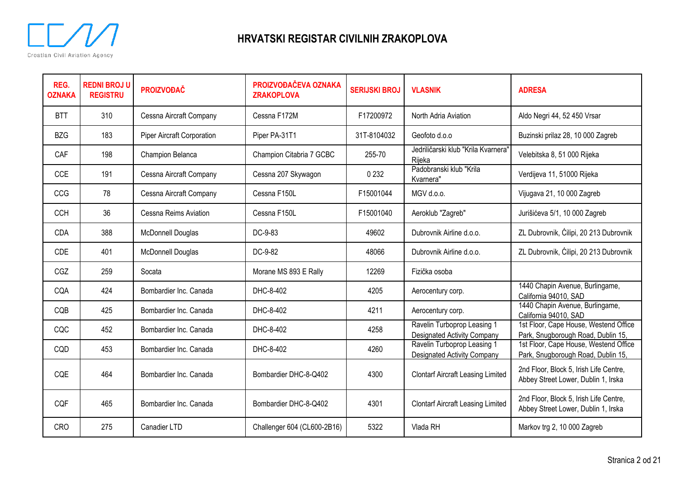

| REG.<br><b>OZNAKA</b> | <b>REDNI BROJ U</b><br><b>REGISTRU</b> | <b>PROIZVOĐAČ</b>                 | PROIZVOĐAČEVA OZNAKA<br><b>ZRAKOPLOVA</b> | <b>SERIJSKI BROJ</b> | <b>VLASNIK</b>                                                    | <b>ADRESA</b>                                                                 |
|-----------------------|----------------------------------------|-----------------------------------|-------------------------------------------|----------------------|-------------------------------------------------------------------|-------------------------------------------------------------------------------|
| <b>BTT</b>            | 310                                    | Cessna Aircraft Company           | Cessna F172M                              | F17200972            | North Adria Aviation                                              | Aldo Negri 44, 52 450 Vrsar                                                   |
| <b>BZG</b>            | 183                                    | <b>Piper Aircraft Corporation</b> | Piper PA-31T1                             | 31T-8104032          | Geofoto d.o.o                                                     | Buzinski prilaz 28, 10 000 Zagreb                                             |
| CAF                   | 198                                    | Champion Belanca                  | Champion Citabria 7 GCBC                  | 255-70               | Jedriličarski klub "Krila Kvarnera"<br>Rijeka                     | Velebitska 8, 51 000 Rijeka                                                   |
| <b>CCE</b>            | 191                                    | Cessna Aircraft Company           | Cessna 207 Skywagon                       | 0 2 3 2              | Padobranski klub "Krila<br>Kvarnera"                              | Verdijeva 11, 51000 Rijeka                                                    |
| <b>CCG</b>            | 78                                     | Cessna Aircraft Company           | Cessna F150L                              | F15001044            | MGV d.o.o.                                                        | Vijugava 21, 10 000 Zagreb                                                    |
| <b>CCH</b>            | 36                                     | Cessna Reims Aviation             | Cessna F150L                              | F15001040            | Aeroklub "Zagreb"                                                 | Jurišićeva 5/1, 10 000 Zagreb                                                 |
| CDA                   | 388                                    | <b>McDonnell Douglas</b>          | DC-9-83                                   | 49602                | Dubrovnik Airline d.o.o.                                          | ZL Dubrovnik, Ćilipi, 20 213 Dubrovnik                                        |
| <b>CDE</b>            | 401                                    | <b>McDonnell Douglas</b>          | DC-9-82                                   | 48066                | Dubrovnik Airline d.o.o.                                          | ZL Dubrovnik, Ćilipi, 20 213 Dubrovnik                                        |
| CGZ                   | 259                                    | Socata                            | Morane MS 893 E Rally                     | 12269                | Fizička osoba                                                     |                                                                               |
| CQA                   | 424                                    | Bombardier Inc. Canada            | DHC-8-402                                 | 4205                 | Aerocentury corp.                                                 | 1440 Chapin Avenue, Burlingame,<br>California 94010, SAD                      |
| CQB                   | 425                                    | Bombardier Inc. Canada            | DHC-8-402                                 | 4211                 | Aerocentury corp.                                                 | 1440 Chapin Avenue, Burlingame,<br>California 94010, SAD                      |
| CQC                   | 452                                    | Bombardier Inc. Canada            | DHC-8-402                                 | 4258                 | Ravelin Turboprop Leasing 1<br><b>Designated Activity Company</b> | 1st Floor, Cape House, Westend Office<br>Park, Snugborough Road, Dublin 15,   |
| CQD                   | 453                                    | Bombardier Inc. Canada            | DHC-8-402                                 | 4260                 | Ravelin Turboprop Leasing 1<br><b>Designated Activity Company</b> | 1st Floor, Cape House, Westend Office<br>Park, Snugborough Road, Dublin 15,   |
| CQE                   | 464                                    | Bombardier Inc. Canada            | Bombardier DHC-8-Q402                     | 4300                 | <b>Clontarf Aircraft Leasing Limited</b>                          | 2nd Floor, Block 5, Irish Life Centre,<br>Abbey Street Lower, Dublin 1, Irska |
| <b>CQF</b>            | 465                                    | Bombardier Inc. Canada            | Bombardier DHC-8-Q402                     | 4301                 | <b>Clontarf Aircraft Leasing Limited</b>                          | 2nd Floor, Block 5, Irish Life Centre,<br>Abbey Street Lower, Dublin 1, Irska |
| <b>CRO</b>            | 275                                    | Canadier LTD                      | Challenger 604 (CL600-2B16)               | 5322                 | Vlada RH                                                          | Markov trg 2, 10 000 Zagreb                                                   |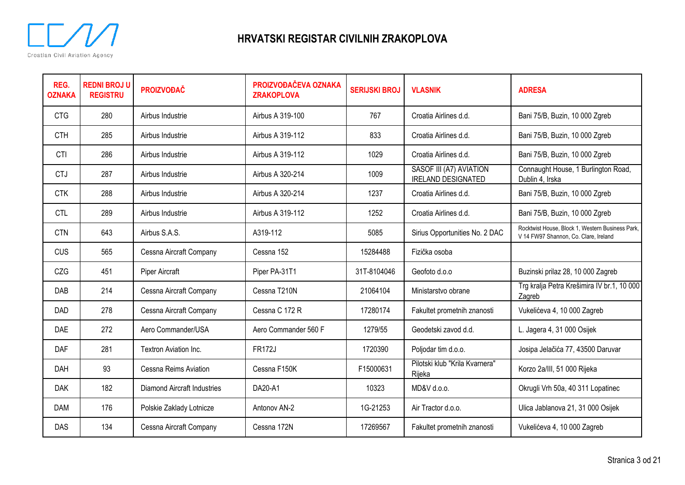

| REG.<br><b>OZNAKA</b> | <b>REDNI BROJ U</b><br><b>REGISTRU</b> | <b>PROIZVOĐAČ</b>           | PROIZVOĐAČEVA OZNAKA<br><b>ZRAKOPLOVA</b> | <b>SERIJSKI BROJ</b> | <b>VLASNIK</b>                                       | <b>ADRESA</b>                                                                             |
|-----------------------|----------------------------------------|-----------------------------|-------------------------------------------|----------------------|------------------------------------------------------|-------------------------------------------------------------------------------------------|
| <b>CTG</b>            | 280                                    | Airbus Industrie            | Airbus A 319-100                          | 767                  | Croatia Airlines d.d.                                | Bani 75/B, Buzin, 10 000 Zgreb                                                            |
| <b>CTH</b>            | 285                                    | Airbus Industrie            | Airbus A 319-112                          | 833                  | Croatia Airlines d.d.                                | Bani 75/B, Buzin, 10 000 Zgreb                                                            |
| <b>CTI</b>            | 286                                    | Airbus Industrie            | Airbus A 319-112                          | 1029                 | Croatia Airlines d.d.                                | Bani 75/B, Buzin, 10 000 Zgreb                                                            |
| <b>CTJ</b>            | 287                                    | Airbus Industrie            | Airbus A 320-214                          | 1009                 | SASOF III (A7) AVIATION<br><b>IRELAND DESIGNATED</b> | Connaught House, 1 Burlington Road,<br>Dublin 4, Irska                                    |
| <b>CTK</b>            | 288                                    | Airbus Industrie            | Airbus A 320-214                          | 1237                 | Croatia Airlines d.d.                                | Bani 75/B, Buzin, 10 000 Zgreb                                                            |
| <b>CTL</b>            | 289                                    | Airbus Industrie            | Airbus A 319-112                          | 1252                 | Croatia Airlines d.d.                                | Bani 75/B, Buzin, 10 000 Zgreb                                                            |
| <b>CTN</b>            | 643                                    | Airbus S.A.S.               | A319-112                                  | 5085                 | Sirius Opportunities No. 2 DAC                       | Rocktwist House, Block 1, Western Business Park,<br>V 14 FW97 Shannon, Co. Clare, Ireland |
| <b>CUS</b>            | 565                                    | Cessna Aircraft Company     | Cessna 152                                | 15284488             | Fizička osoba                                        |                                                                                           |
| CZG                   | 451                                    | Piper Aircraft              | Piper PA-31T1                             | 31T-8104046          | Geofoto d.o.o                                        | Buzinski prilaz 28, 10 000 Zagreb                                                         |
| DAB                   | 214                                    | Cessna Aircraft Company     | Cessna T210N                              | 21064104             | Ministarstvo obrane                                  | Trg kralja Petra Krešimira IV br.1, 10 000<br>Zagreb                                      |
| <b>DAD</b>            | 278                                    | Cessna Aircraft Company     | Cessna C 172 R                            | 17280174             | Fakultet prometnih znanosti                          | Vukelićeva 4, 10 000 Zagreb                                                               |
| DAE                   | 272                                    | Aero Commander/USA          | Aero Commander 560 F                      | 1279/55              | Geodetski zavod d.d.                                 | L. Jagera 4, 31 000 Osijek                                                                |
| <b>DAF</b>            | 281                                    | Textron Aviation Inc.       | <b>FR172J</b>                             | 1720390              | Poljodar tim d.o.o.                                  | Josipa Jelačića 77, 43500 Daruvar                                                         |
| <b>DAH</b>            | 93                                     | Cessna Reims Aviation       | Cessna F150K                              | F15000631            | Pilotski klub "Krila Kvarnera"<br>Rijeka             | Korzo 2a/III, 51 000 Rijeka                                                               |
| <b>DAK</b>            | 182                                    | Diamond Aircraft Industries | DA20-A1                                   | 10323                | MD&V d.o.o.                                          | Okrugli Vrh 50a, 40 311 Lopatinec                                                         |
| <b>DAM</b>            | 176                                    | Polskie Zaklady Lotnicze    | Antonov AN-2                              | 1G-21253             | Air Tractor d.o.o.                                   | Ulica Jablanova 21, 31 000 Osijek                                                         |
| DAS                   | 134                                    | Cessna Aircraft Company     | Cessna 172N                               | 17269567             | Fakultet prometnih znanosti                          | Vukelićeva 4, 10 000 Zagreb                                                               |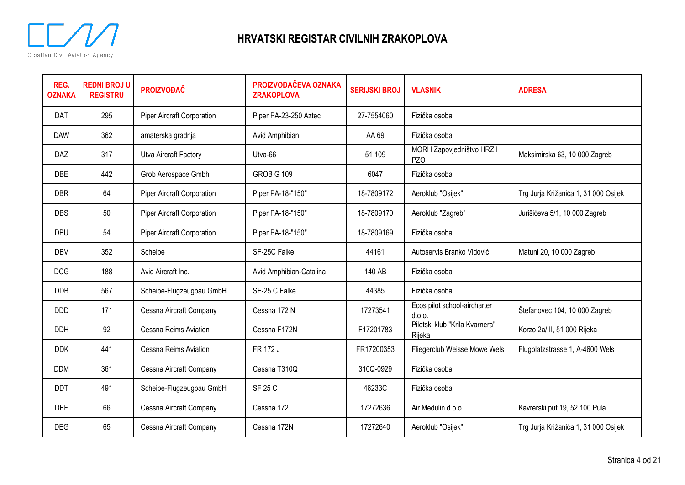

| REG.<br><b>OZNAKA</b> | <b>REDNI BROJ U</b><br><b>REGISTRU</b> | <b>PROIZVOĐAČ</b>                 | PROIZVOĐAČEVA OZNAKA<br><b>ZRAKOPLOVA</b> | <b>SERIJSKI BROJ</b> | <b>VLASNIK</b>                               | <b>ADRESA</b>                        |
|-----------------------|----------------------------------------|-----------------------------------|-------------------------------------------|----------------------|----------------------------------------------|--------------------------------------|
| DAT                   | 295                                    | <b>Piper Aircraft Corporation</b> | Piper PA-23-250 Aztec                     | 27-7554060           | Fizička osoba                                |                                      |
| <b>DAW</b>            | 362                                    | amaterska gradnja                 | Avid Amphibian                            | AA 69                | Fizička osoba                                |                                      |
| DAZ                   | 317                                    | Utva Aircraft Factory             | Utva-66                                   | 51 109               | MORH Zapovjedništvo HRZ I<br>PZ <sub>O</sub> | Maksimirska 63, 10 000 Zagreb        |
| <b>DBE</b>            | 442                                    | Grob Aerospace Gmbh               | <b>GROB G 109</b>                         | 6047                 | Fizička osoba                                |                                      |
| <b>DBR</b>            | 64                                     | <b>Piper Aircraft Corporation</b> | Piper PA-18-"150"                         | 18-7809172           | Aeroklub "Osijek"                            | Trg Jurja Križanića 1, 31 000 Osijek |
| <b>DBS</b>            | 50                                     | <b>Piper Aircraft Corporation</b> | Piper PA-18-"150"                         | 18-7809170           | Aeroklub "Zagreb"                            | Jurišićeva 5/1, 10 000 Zagreb        |
| <b>DBU</b>            | 54                                     | Piper Aircraft Corporation        | Piper PA-18-"150"                         | 18-7809169           | Fizička osoba                                |                                      |
| <b>DBV</b>            | 352                                    | Scheibe                           | SF-25C Falke                              | 44161                | Autoservis Branko Vidović                    | Matuni 20, 10 000 Zagreb             |
| <b>DCG</b>            | 188                                    | Avid Aircraft Inc.                | Avid Amphibian-Catalina                   | 140 AB               | Fizička osoba                                |                                      |
| <b>DDB</b>            | 567                                    | Scheibe-Flugzeugbau GmbH          | SF-25 C Falke                             | 44385                | Fizička osoba                                |                                      |
| <b>DDD</b>            | 171                                    | Cessna Aircraft Company           | Cessna 172 N                              | 17273541             | Ecos pilot school-aircharter<br>d.0.0.       | Štefanovec 104, 10 000 Zagreb        |
| <b>DDH</b>            | 92                                     | Cessna Reims Aviation             | Cessna F172N                              | F17201783            | Pilotski klub "Krila Kvarnera"<br>Rijeka     | Korzo 2a/III, 51 000 Rijeka          |
| <b>DDK</b>            | 441                                    | Cessna Reims Aviation             | FR 172 J                                  | FR17200353           | Fliegerclub Weisse Mowe Wels                 | Flugplatzstrasse 1, A-4600 Wels      |
| <b>DDM</b>            | 361                                    | Cessna Aircraft Company           | Cessna T310Q                              | 310Q-0929            | Fizička osoba                                |                                      |
| DDT                   | 491                                    | Scheibe-Flugzeugbau GmbH          | <b>SF 25 C</b>                            | 46233C               | Fizička osoba                                |                                      |
| <b>DEF</b>            | 66                                     | Cessna Aircraft Company           | Cessna 172                                | 17272636             | Air Medulin d.o.o.                           | Kavrerski put 19, 52 100 Pula        |
| <b>DEG</b>            | 65                                     | Cessna Aircraft Company           | Cessna 172N                               | 17272640             | Aeroklub "Osijek"                            | Trg Jurja Križanića 1, 31 000 Osijek |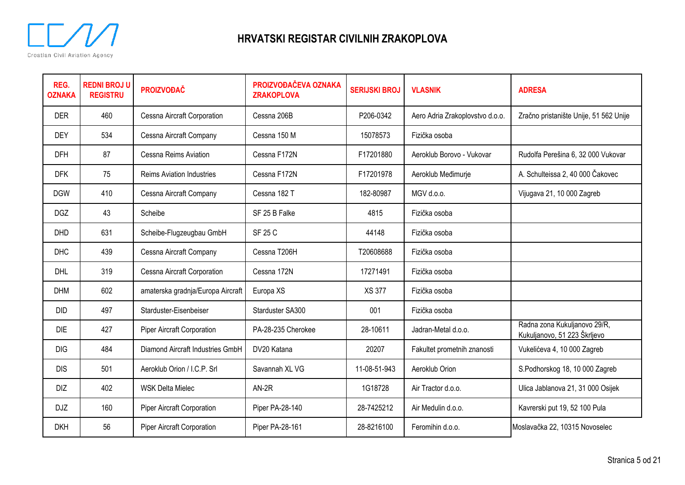

| REG.<br><b>OZNAKA</b> | <b>REDNI BROJ U</b><br><b>REGISTRU</b> | <b>PROIZVOĐAČ</b>                 | PROIZVOĐAČEVA OZNAKA<br><b>ZRAKOPLOVA</b> | <b>SERIJSKI BROJ</b> | <b>VLASNIK</b>                  | <b>ADRESA</b>                                                |
|-----------------------|----------------------------------------|-----------------------------------|-------------------------------------------|----------------------|---------------------------------|--------------------------------------------------------------|
| <b>DER</b>            | 460                                    | Cessna Aircraft Corporation       | Cessna 206B                               | P206-0342            | Aero Adria Zrakoplovstvo d.o.o. | Zračno pristanište Unije, 51 562 Unije                       |
| <b>DEY</b>            | 534                                    | Cessna Aircraft Company           | Cessna 150 M                              | 15078573             | Fizička osoba                   |                                                              |
| <b>DFH</b>            | 87                                     | Cessna Reims Aviation             | Cessna F172N                              | F17201880            | Aeroklub Borovo - Vukovar       | Rudolfa Perešina 6, 32 000 Vukovar                           |
| <b>DFK</b>            | 75                                     | <b>Reims Aviation Industries</b>  | Cessna F172N                              | F17201978            | Aeroklub Međimurje              | A. Schulteissa 2, 40 000 Čakovec                             |
| <b>DGW</b>            | 410                                    | Cessna Aircraft Company           | Cessna 182 T                              | 182-80987            | MGV d.o.o.                      | Vijugava 21, 10 000 Zagreb                                   |
| <b>DGZ</b>            | 43                                     | Scheibe                           | SF 25 B Falke                             | 4815                 | Fizička osoba                   |                                                              |
| <b>DHD</b>            | 631                                    | Scheibe-Flugzeugbau GmbH          | <b>SF 25 C</b>                            | 44148                | Fizička osoba                   |                                                              |
| <b>DHC</b>            | 439                                    | Cessna Aircraft Company           | Cessna T206H                              | T20608688            | Fizička osoba                   |                                                              |
| <b>DHL</b>            | 319                                    | Cessna Aircraft Corporation       | Cessna 172N                               | 17271491             | Fizička osoba                   |                                                              |
| <b>DHM</b>            | 602                                    | amaterska gradnja/Europa Aircraft | Europa XS                                 | <b>XS 377</b>        | Fizička osoba                   |                                                              |
| <b>DID</b>            | 497                                    | Starduster-Eisenbeiser            | Starduster SA300                          | 001                  | Fizička osoba                   |                                                              |
| <b>DIE</b>            | 427                                    | Piper Aircraft Corporation        | PA-28-235 Cherokee                        | 28-10611             | Jadran-Metal d.o.o.             | Radna zona Kukuljanovo 29/R,<br>Kukuljanovo, 51 223 Škrljevo |
| <b>DIG</b>            | 484                                    | Diamond Aircraft Industries GmbH  | DV20 Katana                               | 20207                | Fakultet prometnih znanosti     | Vukelićeva 4, 10 000 Zagreb                                  |
| <b>DIS</b>            | 501                                    | Aeroklub Orion / I.C.P. Srl       | Savannah XL VG                            | 11-08-51-943         | Aeroklub Orion                  | S.Podhorskog 18, 10 000 Zagreb                               |
| DIZ                   | 402                                    | <b>WSK Delta Mielec</b>           | $AN-2R$                                   | 1G18728              | Air Tractor d.o.o.              | Ulica Jablanova 21, 31 000 Osijek                            |
| <b>DJZ</b>            | 160                                    | Piper Aircraft Corporation        | Piper PA-28-140                           | 28-7425212           | Air Medulin d.o.o.              | Kavrerski put 19, 52 100 Pula                                |
| <b>DKH</b>            | 56                                     | Piper Aircraft Corporation        | Piper PA-28-161                           | 28-8216100           | Feromihin d.o.o.                | Moslavačka 22, 10315 Novoselec                               |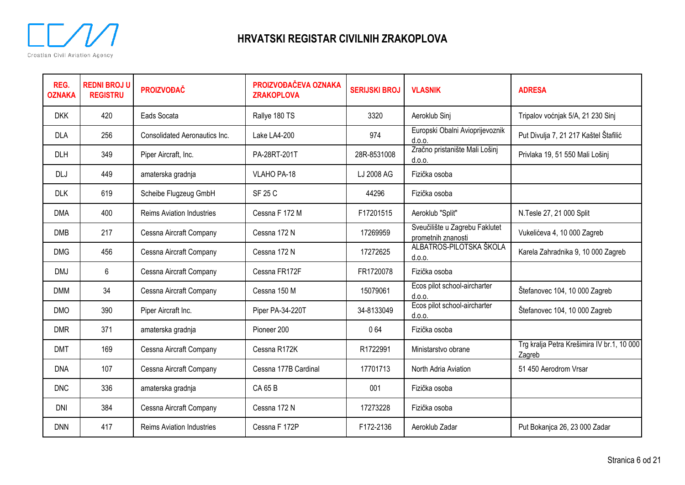

| REG.<br><b>OZNAKA</b> | <b>REDNI BROJ U</b><br><b>REGISTRU</b> | <b>PROIZVOĐAČ</b>                | PROIZVOĐAČEVA OZNAKA<br><b>ZRAKOPLOVA</b> | <b>SERIJSKI BROJ</b> | <b>VLASNIK</b>                                       | <b>ADRESA</b>                                        |
|-----------------------|----------------------------------------|----------------------------------|-------------------------------------------|----------------------|------------------------------------------------------|------------------------------------------------------|
| <b>DKK</b>            | 420                                    | Eads Socata                      | Rallye 180 TS                             | 3320                 | Aeroklub Sinj                                        | Tripalov voćnjak 5/A, 21 230 Sinj                    |
| <b>DLA</b>            | 256                                    | Consolidated Aeronautics Inc.    | Lake LA4-200                              | 974                  | Europski Obalni Avioprijevoznik<br>d.0.0.            | Put Divulja 7, 21 217 Kaštel Štafilić                |
| DLH                   | 349                                    | Piper Aircraft, Inc.             | PA-28RT-201T                              | 28R-8531008          | Zračno pristanište Mali Lošinj<br>d.0.0.             | Privlaka 19, 51 550 Mali Lošinj                      |
| <b>DLJ</b>            | 449                                    | amaterska gradnja                | VLAHO PA-18                               | LJ 2008 AG           | Fizička osoba                                        |                                                      |
| <b>DLK</b>            | 619                                    | Scheibe Flugzeug GmbH            | SF 25 C                                   | 44296                | Fizička osoba                                        |                                                      |
| <b>DMA</b>            | 400                                    | <b>Reims Aviation Industries</b> | Cessna F 172 M                            | F17201515            | Aeroklub "Split"                                     | N.Tesle 27, 21 000 Split                             |
| <b>DMB</b>            | 217                                    | Cessna Aircraft Company          | Cessna 172 N                              | 17269959             | Sveučilište u Zagrebu Faklutet<br>prometnih znanosti | Vukelićeva 4, 10 000 Zagreb                          |
| <b>DMG</b>            | 456                                    | Cessna Aircraft Company          | Cessna 172 N                              | 17272625             | ALBATROS-PILOTSKA ŠKOLA<br>d.0.0.                    | Karela Zahradnika 9, 10 000 Zagreb                   |
| <b>DMJ</b>            | 6                                      | Cessna Aircraft Company          | Cessna FR172F                             | FR1720078            | Fizička osoba                                        |                                                      |
| <b>DMM</b>            | 34                                     | Cessna Aircraft Company          | Cessna 150 M                              | 15079061             | Ecos pilot school-aircharter<br>d.0.0.               | Štefanovec 104, 10 000 Zagreb                        |
| <b>DMO</b>            | 390                                    | Piper Aircraft Inc.              | Piper PA-34-220T                          | 34-8133049           | Ecos pilot school-aircharter<br>d.o.o.               | Štefanovec 104, 10 000 Zagreb                        |
| <b>DMR</b>            | 371                                    | amaterska gradnja                | Pioneer 200                               | 064                  | Fizička osoba                                        |                                                      |
| <b>DMT</b>            | 169                                    | Cessna Aircraft Company          | Cessna R172K                              | R1722991             | Ministarstvo obrane                                  | Trg kralja Petra Krešimira IV br.1, 10 000<br>Zagreb |
| <b>DNA</b>            | 107                                    | Cessna Aircraft Company          | Cessna 177B Cardinal                      | 17701713             | North Adria Aviation                                 | 51 450 Aerodrom Vrsar                                |
| <b>DNC</b>            | 336                                    | amaterska gradnja                | <b>CA65B</b>                              | 001                  | Fizička osoba                                        |                                                      |
| DNI                   | 384                                    | Cessna Aircraft Company          | Cessna 172 N                              | 17273228             | Fizička osoba                                        |                                                      |
| <b>DNN</b>            | 417                                    | <b>Reims Aviation Industries</b> | Cessna F 172P                             | F172-2136            | Aeroklub Zadar                                       | Put Bokanjca 26, 23 000 Zadar                        |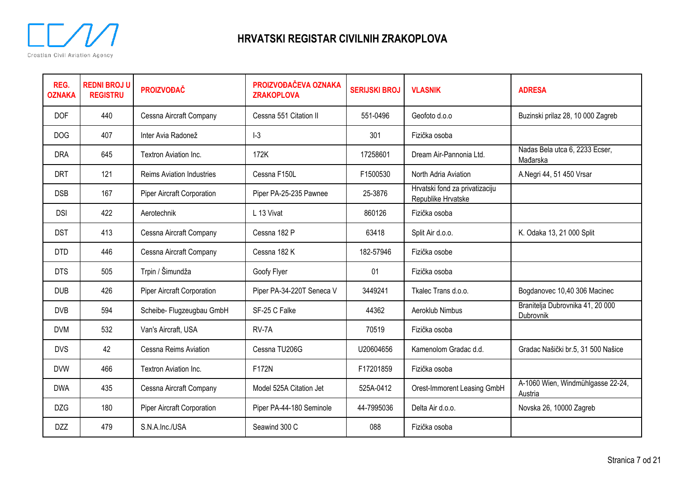

| REG.<br><b>OZNAKA</b> | <b>REDNI BROJ U</b><br><b>REGISTRU</b> | <b>PROIZVOĐAČ</b>                 | PROIZVOĐAČEVA OZNAKA<br><b>ZRAKOPLOVA</b> | <b>SERIJSKI BROJ</b> | <b>VLASNIK</b>                                       | <b>ADRESA</b>                                 |
|-----------------------|----------------------------------------|-----------------------------------|-------------------------------------------|----------------------|------------------------------------------------------|-----------------------------------------------|
| <b>DOF</b>            | 440                                    | Cessna Aircraft Company           | Cessna 551 Citation II                    | 551-0496             | Geofoto d.o.o                                        | Buzinski prilaz 28, 10 000 Zagreb             |
| <b>DOG</b>            | 407                                    | Inter Avia Radonež                | $I-3$                                     | 301                  | Fizička osoba                                        |                                               |
| <b>DRA</b>            | 645                                    | Textron Aviation Inc.             | 172K                                      | 17258601             | Dream Air-Pannonia Ltd.                              | Nadas Bela utca 6, 2233 Ecser,<br>Mađarska    |
| <b>DRT</b>            | 121                                    | <b>Reims Aviation Industries</b>  | Cessna F150L                              | F1500530             | North Adria Aviation                                 | A.Negri 44, 51 450 Vrsar                      |
| <b>DSB</b>            | 167                                    | <b>Piper Aircraft Corporation</b> | Piper PA-25-235 Pawnee                    | 25-3876              | Hrvatski fond za privatizaciju<br>Republike Hrvatske |                                               |
| <b>DSI</b>            | 422                                    | Aerotechnik                       | L 13 Vivat                                | 860126               | Fizička osoba                                        |                                               |
| <b>DST</b>            | 413                                    | Cessna Aircraft Company           | Cessna 182 P                              | 63418                | Split Air d.o.o.                                     | K. Odaka 13, 21 000 Split                     |
| <b>DTD</b>            | 446                                    | Cessna Aircraft Company           | Cessna 182 K                              | 182-57946            | Fizička osobe                                        |                                               |
| <b>DTS</b>            | 505                                    | Trpin / Šimundža                  | Goofy Flyer                               | 01                   | Fizička osoba                                        |                                               |
| <b>DUB</b>            | 426                                    | <b>Piper Aircraft Corporation</b> | Piper PA-34-220T Seneca V                 | 3449241              | Tkalec Trans d.o.o.                                  | Bogdanovec 10,40 306 Macinec                  |
| <b>DVB</b>            | 594                                    | Scheibe- Flugzeugbau GmbH         | SF-25 C Falke                             | 44362                | Aeroklub Nimbus                                      | Branitelja Dubrovnika 41, 20 000<br>Dubrovnik |
| <b>DVM</b>            | 532                                    | Van's Aircraft, USA               | RV-7A                                     | 70519                | Fizička osoba                                        |                                               |
| <b>DVS</b>            | 42                                     | Cessna Reims Aviation             | Cessna TU206G                             | U20604656            | Kamenolom Gradac d.d.                                | Gradac Našički br.5, 31 500 Našice            |
| <b>DVW</b>            | 466                                    | Textron Aviation Inc.             | F172N                                     | F17201859            | Fizička osoba                                        |                                               |
| <b>DWA</b>            | 435                                    | Cessna Aircraft Company           | Model 525A Citation Jet                   | 525A-0412            | Orest-Immorent Leasing GmbH                          | A-1060 Wien, Windmühlgasse 22-24,<br>Austria  |
| <b>DZG</b>            | 180                                    | Piper Aircraft Corporation        | Piper PA-44-180 Seminole                  | 44-7995036           | Delta Air d.o.o.                                     | Novska 26, 10000 Zagreb                       |
| <b>DZZ</b>            | 479                                    | S.N.A.Inc./USA                    | Seawind 300 C                             | 088                  | Fizička osoba                                        |                                               |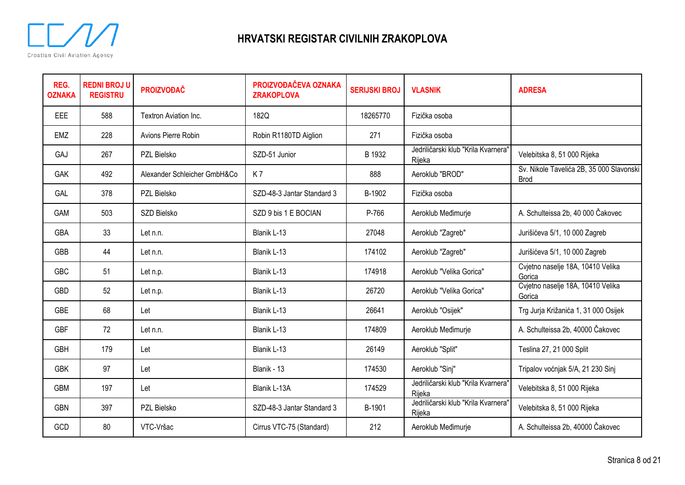

| REG.<br><b>OZNAKA</b> | <b>REDNI BROJ U</b><br><b>REGISTRU</b> | <b>PROIZVOĐAČ</b>            | PROIZVOĐAČEVA OZNAKA<br><b>ZRAKOPLOVA</b> | <b>SERIJSKI BROJ</b> | <b>VLASNIK</b>                                | <b>ADRESA</b>                                           |
|-----------------------|----------------------------------------|------------------------------|-------------------------------------------|----------------------|-----------------------------------------------|---------------------------------------------------------|
| EEE                   | 588                                    | Textron Aviation Inc.        | 182Q                                      | 18265770             | Fizička osoba                                 |                                                         |
| <b>EMZ</b>            | 228                                    | Avions Pierre Robin          | Robin R1180TD Aiglion                     | 271                  | Fizička osoba                                 |                                                         |
| GAJ                   | 267                                    | PZL Bielsko                  | SZD-51 Junior                             | B 1932               | Jedriličarski klub "Krila Kvarnera"<br>Rijeka | Velebitska 8, 51 000 Rijeka                             |
| <b>GAK</b>            | 492                                    | Alexander Schleicher GmbH&Co | K7                                        | 888                  | Aeroklub "BROD"                               | Sv. Nikole Tavelića 2B, 35 000 Slavonski<br><b>Brod</b> |
| GAL                   | 378                                    | PZL Bielsko                  | SZD-48-3 Jantar Standard 3                | B-1902               | Fizička osoba                                 |                                                         |
| GAM                   | 503                                    | SZD Bielsko                  | SZD 9 bis 1 E BOCIAN                      | P-766                | Aeroklub Međimurje                            | A. Schulteissa 2b, 40 000 Čakovec                       |
| <b>GBA</b>            | 33                                     | Let n.n.                     | Blanik L-13                               | 27048                | Aeroklub "Zagreb"                             | Jurišićeva 5/1, 10 000 Zagreb                           |
| <b>GBB</b>            | 44                                     | Let n.n.                     | Blanik L-13                               | 174102               | Aeroklub "Zagreb"                             | Jurišićeva 5/1, 10 000 Zagreb                           |
| <b>GBC</b>            | 51                                     | Let n.p.                     | Blanik L-13                               | 174918               | Aeroklub "Velika Gorica"                      | Cvjetno naselje 18A, 10410 Velika<br>Gorica             |
| <b>GBD</b>            | 52                                     | Let n.p.                     | Blanik L-13                               | 26720                | Aeroklub "Velika Gorica"                      | Cvjetno naselje 18A, 10410 Velika<br>Gorica             |
| <b>GBE</b>            | 68                                     | Let                          | Blanik L-13                               | 26641                | Aeroklub "Osijek"                             | Trg Jurja Križanića 1, 31 000 Osijek                    |
| <b>GBF</b>            | 72                                     | Let n.n.                     | Blanik L-13                               | 174809               | Aeroklub Međimurje                            | A. Schulteissa 2b, 40000 Čakovec                        |
| <b>GBH</b>            | 179                                    | Let                          | Blanik L-13                               | 26149                | Aeroklub "Split"                              | Teslina 27, 21 000 Split                                |
| <b>GBK</b>            | 97                                     | Let                          | Blanik - 13                               | 174530               | Aeroklub "Sinj"                               | Tripalov voćnjak 5/A, 21 230 Sinj                       |
| <b>GBM</b>            | 197                                    | Let                          | Blanik L-13A                              | 174529               | Jedriličarski klub "Krila Kvarnera"<br>Rijeka | Velebitska 8, 51 000 Rijeka                             |
| <b>GBN</b>            | 397                                    | PZL Bielsko                  | SZD-48-3 Jantar Standard 3                | B-1901               | Jedriličarski klub "Krila Kvarnera"<br>Rijeka | Velebitska 8, 51 000 Rijeka                             |
| GCD                   | 80                                     | VTC-Vršac                    | Cirrus VTC-75 (Standard)                  | 212                  | Aeroklub Međimurje                            | A. Schulteissa 2b, 40000 Čakovec                        |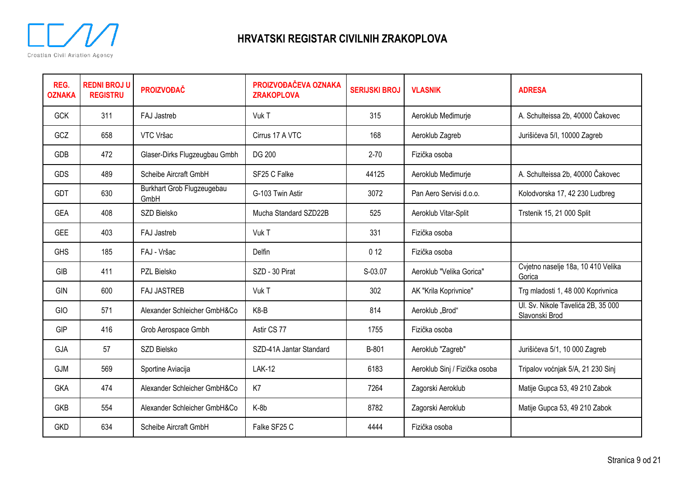

| REG.<br><b>OZNAKA</b> | <b>REDNI BROJ U</b><br><b>REGISTRU</b> | <b>PROIZVOĐAČ</b>                  | PROIZVOĐAČEVA OZNAKA<br><b>ZRAKOPLOVA</b> | <b>SERIJSKI BROJ</b> | <b>VLASNIK</b>                | <b>ADRESA</b>                                        |
|-----------------------|----------------------------------------|------------------------------------|-------------------------------------------|----------------------|-------------------------------|------------------------------------------------------|
| <b>GCK</b>            | 311                                    | FAJ Jastreb                        | Vuk T                                     | 315                  | Aeroklub Međimurje            | A. Schulteissa 2b, 40000 Čakovec                     |
| GCZ                   | 658                                    | VTC Vršac                          | Cirrus 17 A VTC                           | 168                  | Aeroklub Zagreb               | Jurišićeva 5/I, 10000 Zagreb                         |
| GDB                   | 472                                    | Glaser-Dirks Flugzeugbau Gmbh      | <b>DG 200</b>                             | $2 - 70$             | Fizička osoba                 |                                                      |
| <b>GDS</b>            | 489                                    | Scheibe Aircraft GmbH              | SF25 C Falke                              | 44125                | Aeroklub Međimurje            | A. Schulteissa 2b, 40000 Čakovec                     |
| <b>GDT</b>            | 630                                    | Burkhart Grob Flugzeugebau<br>GmbH | G-103 Twin Astir                          | 3072                 | Pan Aero Servisi d.o.o.       | Kolodvorska 17, 42 230 Ludbreg                       |
| <b>GEA</b>            | 408                                    | SZD Bielsko                        | Mucha Standard SZD22B                     | 525                  | Aeroklub Vitar-Split          | Trstenik 15, 21 000 Split                            |
| <b>GEE</b>            | 403                                    | FAJ Jastreb                        | Vuk T                                     | 331                  | Fizička osoba                 |                                                      |
| <b>GHS</b>            | 185                                    | FAJ - Vršac                        | <b>Delfin</b>                             | 0 <sub>12</sub>      | Fizička osoba                 |                                                      |
| GIB                   | 411                                    | PZL Bielsko                        | SZD - 30 Pirat                            | S-03.07              | Aeroklub "Velika Gorica"      | Cvjetno naselje 18a, 10 410 Velika<br>Gorica         |
| GIN                   | 600                                    | <b>FAJ JASTREB</b>                 | Vuk T                                     | 302                  | AK "Krila Koprivnice"         | Trg mladosti 1, 48 000 Koprivnica                    |
| GIO                   | 571                                    | Alexander Schleicher GmbH&Co       | K8-B                                      | 814                  | Aeroklub "Brod"               | Ul. Sv. Nikole Tavelića 2B, 35 000<br>Slavonski Brod |
| <b>GIP</b>            | 416                                    | Grob Aerospace Gmbh                | Astir CS 77                               | 1755                 | Fizička osoba                 |                                                      |
| GJA                   | 57                                     | SZD Bielsko                        | SZD-41A Jantar Standard                   | B-801                | Aeroklub "Zagreb"             | Jurišićeva 5/1, 10 000 Zagreb                        |
| <b>GJM</b>            | 569                                    | Sportine Aviacija                  | <b>LAK-12</b>                             | 6183                 | Aeroklub Sinj / Fizička osoba | Tripalov voćnjak 5/A, 21 230 Sinj                    |
| <b>GKA</b>            | 474                                    | Alexander Schleicher GmbH&Co       | K7                                        | 7264                 | Zagorski Aeroklub             | Matije Gupca 53, 49 210 Zabok                        |
| <b>GKB</b>            | 554                                    | Alexander Schleicher GmbH&Co       | K-8b                                      | 8782                 | Zagorski Aeroklub             | Matije Gupca 53, 49 210 Zabok                        |
| <b>GKD</b>            | 634                                    | Scheibe Aircraft GmbH              | Falke SF25 C                              | 4444                 | Fizička osoba                 |                                                      |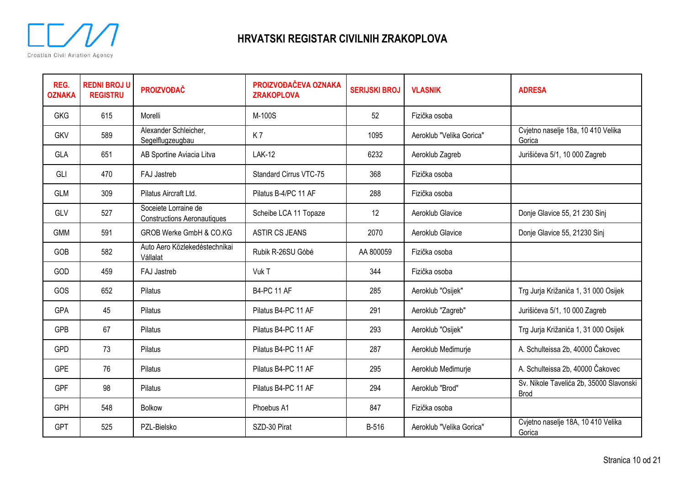

| REG.<br><b>OZNAKA</b> | <b>REDNI BROJ U</b><br><b>REGISTRU</b> | <b>PROIZVOĐAČ</b>                                          | PROIZVOĐAČEVA OZNAKA<br><b>ZRAKOPLOVA</b> | <b>SERIJSKI BROJ</b> | <b>VLASNIK</b>           | <b>ADRESA</b>                                          |
|-----------------------|----------------------------------------|------------------------------------------------------------|-------------------------------------------|----------------------|--------------------------|--------------------------------------------------------|
| <b>GKG</b>            | 615                                    | Morelli                                                    | M-100S                                    | 52                   | Fizička osoba            |                                                        |
| <b>GKV</b>            | 589                                    | Alexander Schleicher,<br>Segelflugzeugbau                  | K7                                        | 1095                 | Aeroklub "Velika Gorica" | Cvjetno naselje 18a, 10 410 Velika<br>Gorica           |
| GLA                   | 651                                    | AB Sportine Aviacia Litva                                  | <b>LAK-12</b>                             | 6232                 | Aeroklub Zagreb          | Jurišićeva 5/1, 10 000 Zagreb                          |
| GLI                   | 470                                    | FAJ Jastreb                                                | <b>Standard Cirrus VTC-75</b>             | 368                  | Fizička osoba            |                                                        |
| <b>GLM</b>            | 309                                    | Pilatus Aircraft Ltd.                                      | Pilatus B-4/PC 11 AF                      | 288                  | Fizička osoba            |                                                        |
| GLV                   | 527                                    | Soceiete Lorraine de<br><b>Constructions Aeronautiques</b> | Scheibe LCA 11 Topaze                     | 12                   | Aeroklub Glavice         | Donje Glavice 55, 21 230 Sinj                          |
| <b>GMM</b>            | 591                                    | GROB Werke GmbH & CO.KG                                    | <b>ASTIR CS JEANS</b>                     | 2070                 | Aeroklub Glavice         | Donje Glavice 55, 21230 Sinj                           |
| GOB                   | 582                                    | Auto Aero Közlekedéstechnikai<br>Vállalat                  | Rubik R-26SU Góbé                         | AA 800059            | Fizička osoba            |                                                        |
| GOD                   | 459                                    | FAJ Jastreb                                                | Vuk T                                     | 344                  | Fizička osoba            |                                                        |
| GOS                   | 652                                    | Pilatus                                                    | <b>B4-PC 11 AF</b>                        | 285                  | Aeroklub "Osijek"        | Trg Jurja Križanića 1, 31 000 Osijek                   |
| GPA                   | 45                                     | Pilatus                                                    | Pilatus B4-PC 11 AF                       | 291                  | Aeroklub "Zagreb"        | Jurišićeva 5/1, 10 000 Zagreb                          |
| <b>GPB</b>            | 67                                     | Pilatus                                                    | Pilatus B4-PC 11 AF                       | 293                  | Aeroklub "Osijek"        | Trg Jurja Križanića 1, 31 000 Osijek                   |
| <b>GPD</b>            | 73                                     | Pilatus                                                    | Pilatus B4-PC 11 AF                       | 287                  | Aeroklub Međimurje       | A. Schulteissa 2b, 40000 Čakovec                       |
| <b>GPE</b>            | 76                                     | Pilatus                                                    | Pilatus B4-PC 11 AF                       | 295                  | Aeroklub Međimurje       | A. Schulteissa 2b, 40000 Čakovec                       |
| GPF                   | 98                                     | Pilatus                                                    | Pilatus B4-PC 11 AF                       | 294                  | Aeroklub "Brod"          | Sv. Nikole Tavelića 2b, 35000 Slavonski<br><b>Brod</b> |
| <b>GPH</b>            | 548                                    | <b>Bolkow</b>                                              | Phoebus A1                                | 847                  | Fizička osoba            |                                                        |
| <b>GPT</b>            | 525                                    | PZL-Bielsko                                                | SZD-30 Pirat                              | B-516                | Aeroklub "Velika Gorica" | Cvjetno naselje 18A, 10 410 Velika<br>Gorica           |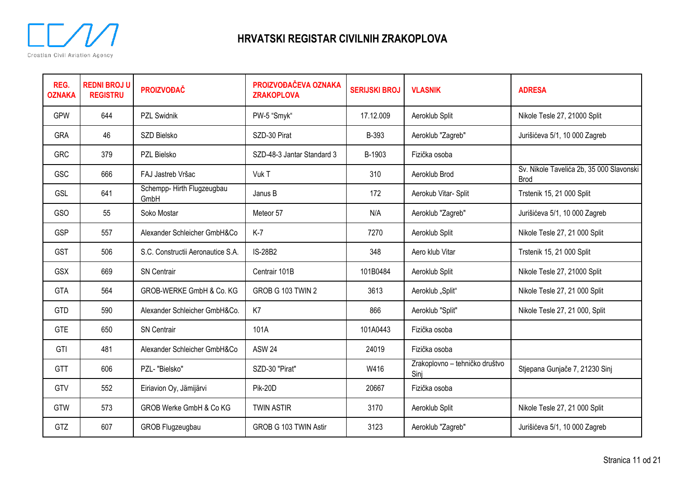

| REG.<br><b>OZNAKA</b> | <b>REDNI BROJ U</b><br><b>REGISTRU</b> | <b>PROIZVOĐAČ</b>                 | PROIZVOĐAČEVA OZNAKA<br><b>ZRAKOPLOVA</b> | <b>SERIJSKI BROJ</b> | <b>VLASNIK</b>                         | <b>ADRESA</b>                                           |
|-----------------------|----------------------------------------|-----------------------------------|-------------------------------------------|----------------------|----------------------------------------|---------------------------------------------------------|
| <b>GPW</b>            | 644                                    | <b>PZL Swidnik</b>                | PW-5 "Smyk"                               | 17.12.009            | Aeroklub Split                         | Nikole Tesle 27, 21000 Split                            |
| <b>GRA</b>            | 46                                     | SZD Bielsko                       | SZD-30 Pirat                              | B-393                | Aeroklub "Zagreb"                      | Jurišićeva 5/1, 10 000 Zagreb                           |
| <b>GRC</b>            | 379                                    | PZL Bielsko                       | SZD-48-3 Jantar Standard 3                | B-1903               | Fizička osoba                          |                                                         |
| GSC                   | 666                                    | FAJ Jastreb Vršac                 | Vuk T                                     | 310                  | Aeroklub Brod                          | Sv. Nikole Tavelića 2b, 35 000 Slavonski<br><b>Brod</b> |
| <b>GSL</b>            | 641                                    | Schempp-Hirth Flugzeugbau<br>GmbH | Janus B                                   | 172                  | Aerokub Vitar-Split                    | Trstenik 15, 21 000 Split                               |
| <b>GSO</b>            | 55                                     | Soko Mostar                       | Meteor 57                                 | N/A                  | Aeroklub "Zagreb"                      | Jurišićeva 5/1, 10 000 Zagreb                           |
| GSP                   | 557                                    | Alexander Schleicher GmbH&Co      | $K-7$                                     | 7270                 | Aeroklub Split                         | Nikole Tesle 27, 21 000 Split                           |
| <b>GST</b>            | 506                                    | S.C. Constructii Aeronautice S.A. | <b>IS-28B2</b>                            | 348                  | Aero klub Vitar                        | Trstenik 15, 21 000 Split                               |
| <b>GSX</b>            | 669                                    | <b>SN Centrair</b>                | Centrair 101B                             | 101B0484             | Aeroklub Split                         | Nikole Tesle 27, 21000 Split                            |
| GTA                   | 564                                    | GROB-WERKE GmbH & Co. KG          | GROB G 103 TWIN 2                         | 3613                 | Aeroklub "Split"                       | Nikole Tesle 27, 21 000 Split                           |
| GTD                   | 590                                    | Alexander Schleicher GmbH&Co.     | K7                                        | 866                  | Aeroklub "Split"                       | Nikole Tesle 27, 21 000, Split                          |
| <b>GTE</b>            | 650                                    | <b>SN Centrair</b>                | 101A                                      | 101A0443             | Fizička osoba                          |                                                         |
| GTI                   | 481                                    | Alexander Schleicher GmbH&Co      | <b>ASW 24</b>                             | 24019                | Fizička osoba                          |                                                         |
| <b>GTT</b>            | 606                                    | PZL- "Bielsko"                    | SZD-30 "Pirat"                            | W416                 | Zrakoplovno - tehničko društvo<br>Sinj | Stjepana Gunjače 7, 21230 Sinj                          |
| GTV                   | 552                                    | Eiriavion Oy, Jämijärvi           | <b>Pik-20D</b>                            | 20667                | Fizička osoba                          |                                                         |
| <b>GTW</b>            | 573                                    | GROB Werke GmbH & Co KG           | <b>TWIN ASTIR</b>                         | 3170                 | Aeroklub Split                         | Nikole Tesle 27, 21 000 Split                           |
| <b>GTZ</b>            | 607                                    | GROB Flugzeugbau                  | GROB G 103 TWIN Astir                     | 3123                 | Aeroklub "Zagreb"                      | Jurišićeva 5/1, 10 000 Zagreb                           |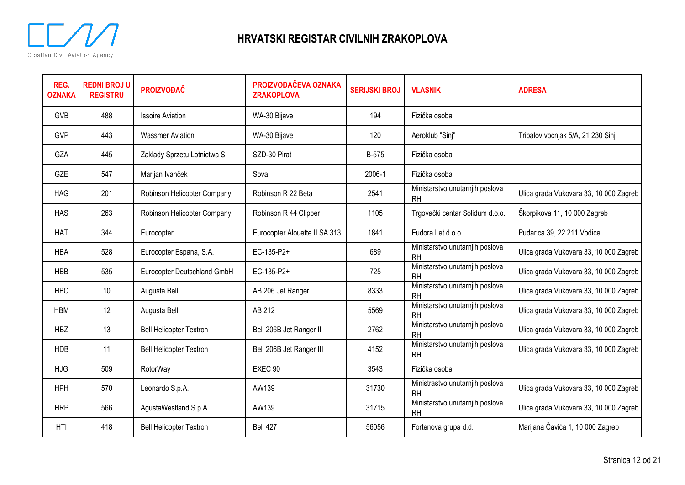

| REG.<br><b>OZNAKA</b> | <b>REDNI BROJ U</b><br><b>REGISTRU</b> | <b>PROIZVOĐAČ</b>              | PROIZVOĐAČEVA OZNAKA<br><b>ZRAKOPLOVA</b> | <b>SERIJSKI BROJ</b> | <b>VLASNIK</b>                               | <b>ADRESA</b>                          |
|-----------------------|----------------------------------------|--------------------------------|-------------------------------------------|----------------------|----------------------------------------------|----------------------------------------|
| <b>GVB</b>            | 488                                    | <b>Issoire Aviation</b>        | WA-30 Bijave                              | 194                  | Fizička osoba                                |                                        |
| <b>GVP</b>            | 443                                    | <b>Wassmer Aviation</b>        | WA-30 Bijave                              | 120                  | Aeroklub "Sinj"                              | Tripalov voćnjak 5/A, 21 230 Sinj      |
| GZA                   | 445                                    | Zaklady Sprzetu Lotnictwa S    | SZD-30 Pirat                              | <b>B-575</b>         | Fizička osoba                                |                                        |
| <b>GZE</b>            | 547                                    | Marijan Ivanček                | Sova                                      | 2006-1               | Fizička osoba                                |                                        |
| <b>HAG</b>            | 201                                    | Robinson Helicopter Company    | Robinson R 22 Beta                        | 2541                 | Ministarstvo unutarnjih poslova<br><b>RH</b> | Ulica grada Vukovara 33, 10 000 Zagreb |
| <b>HAS</b>            | 263                                    | Robinson Helicopter Company    | Robinson R 44 Clipper                     | 1105                 | Trgovački centar Solidum d.o.o.              | Škorpikova 11, 10 000 Zagreb           |
| <b>HAT</b>            | 344                                    | Eurocopter                     | Eurocopter Alouette II SA 313             | 1841                 | Eudora Let d.o.o.                            | Pudarica 39, 22 211 Vodice             |
| <b>HBA</b>            | 528                                    | Eurocopter Espana, S.A.        | EC-135-P2+                                | 689                  | Ministarstvo unutarnjih poslova<br><b>RH</b> | Ulica grada Vukovara 33, 10 000 Zagreb |
| <b>HBB</b>            | 535                                    | Eurocopter Deutschland GmbH    | EC-135-P2+                                | 725                  | Ministarstvo unutarnjih poslova<br><b>RH</b> | Ulica grada Vukovara 33, 10 000 Zagreb |
| <b>HBC</b>            | 10                                     | Augusta Bell                   | AB 206 Jet Ranger                         | 8333                 | Ministarstvo unutarnjih poslova<br><b>RH</b> | Ulica grada Vukovara 33, 10 000 Zagreb |
| <b>HBM</b>            | 12                                     | Augusta Bell                   | AB 212                                    | 5569                 | Ministarstvo unutarnjih poslova<br><b>RH</b> | Ulica grada Vukovara 33, 10 000 Zagreb |
| <b>HBZ</b>            | 13                                     | <b>Bell Helicopter Textron</b> | Bell 206B Jet Ranger II                   | 2762                 | Ministarstvo unutarnjih poslova<br><b>RH</b> | Ulica grada Vukovara 33, 10 000 Zagreb |
| <b>HDB</b>            | 11                                     | <b>Bell Helicopter Textron</b> | Bell 206B Jet Ranger III                  | 4152                 | Ministarstvo unutarnjih poslova<br><b>RH</b> | Ulica grada Vukovara 33, 10 000 Zagreb |
| <b>HJG</b>            | 509                                    | RotorWay                       | EXEC <sub>90</sub>                        | 3543                 | Fizička osoba                                |                                        |
| <b>HPH</b>            | 570                                    | Leonardo S.p.A.                | AW139                                     | 31730                | Ministrastvo unutarnjih poslova<br><b>RH</b> | Ulica grada Vukovara 33, 10 000 Zagreb |
| <b>HRP</b>            | 566                                    | AgustaWestland S.p.A.          | AW139                                     | 31715                | Ministarstvo unutarnjih poslova<br><b>RH</b> | Ulica grada Vukovara 33, 10 000 Zagreb |
| HTI                   | 418                                    | <b>Bell Helicopter Textron</b> | Bell 427                                  | 56056                | Fortenova grupa d.d.                         | Marijana Čavića 1, 10 000 Zagreb       |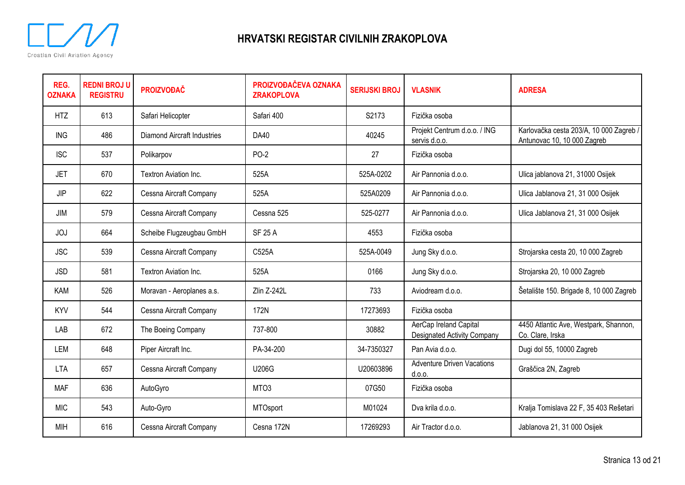

| REG.<br><b>OZNAKA</b> | <b>REDNI BROJ U</b><br><b>REGISTRU</b> | <b>PROIZVOĐAČ</b>                  | PROIZVOĐAČEVA OZNAKA<br><b>ZRAKOPLOVA</b> | <b>SERIJSKI BROJ</b> | <b>VLASNIK</b>                                               | <b>ADRESA</b>                                                          |
|-----------------------|----------------------------------------|------------------------------------|-------------------------------------------|----------------------|--------------------------------------------------------------|------------------------------------------------------------------------|
| <b>HTZ</b>            | 613                                    | Safari Helicopter                  | Safari 400                                | S2173                | Fizička osoba                                                |                                                                        |
| <b>ING</b>            | 486                                    | <b>Diamond Aircraft Industries</b> | <b>DA40</b>                               | 40245                | Projekt Centrum d.o.o. / ING<br>servis d.o.o.                | Karlovačka cesta 203/A, 10 000 Zagreb /<br>Antunovac 10, 10 000 Zagreb |
| <b>ISC</b>            | 537                                    | Polikarpov                         | <b>PO-2</b>                               | 27                   | Fizička osoba                                                |                                                                        |
| <b>JET</b>            | 670                                    | Textron Aviation Inc.              | 525A                                      | 525A-0202            | Air Pannonia d.o.o.                                          | Ulica jablanova 21, 31000 Osijek                                       |
| <b>JIP</b>            | 622                                    | Cessna Aircraft Company            | 525A                                      | 525A0209             | Air Pannonia d.o.o.                                          | Ulica Jablanova 21, 31 000 Osijek                                      |
| JIM                   | 579                                    | Cessna Aircraft Company            | Cessna 525                                | 525-0277             | Air Pannonia d.o.o.                                          | Ulica Jablanova 21, 31 000 Osijek                                      |
| <b>JOJ</b>            | 664                                    | Scheibe Flugzeugbau GmbH           | <b>SF 25 A</b>                            | 4553                 | Fizička osoba                                                |                                                                        |
| <b>JSC</b>            | 539                                    | Cessna Aircraft Company            | C525A                                     | 525A-0049            | Jung Sky d.o.o.                                              | Strojarska cesta 20, 10 000 Zagreb                                     |
| <b>JSD</b>            | 581                                    | Textron Aviation Inc.              | 525A                                      | 0166                 | Jung Sky d.o.o.                                              | Strojarska 20, 10 000 Zagreb                                           |
| KAM                   | 526                                    | Moravan - Aeroplanes a.s.          | Zlin Z-242L                               | 733                  | Aviodream d.o.o.                                             | Šetalište 150. Brigade 8, 10 000 Zagreb                                |
| <b>KYV</b>            | 544                                    | Cessna Aircraft Company            | 172N                                      | 17273693             | Fizička osoba                                                |                                                                        |
| LAB                   | 672                                    | The Boeing Company                 | 737-800                                   | 30882                | AerCap Ireland Capital<br><b>Designated Activity Company</b> | 4450 Atlantic Ave, Westpark, Shannon,<br>Co. Clare, Irska              |
| LEM                   | 648                                    | Piper Aircraft Inc.                | PA-34-200                                 | 34-7350327           | Pan Avia d.o.o.                                              | Dugi dol 55, 10000 Zagreb                                              |
| <b>LTA</b>            | 657                                    | Cessna Aircraft Company            | <b>U206G</b>                              | U20603896            | <b>Adventure Driven Vacations</b><br>d.0.0.                  | Graščica 2N, Zagreb                                                    |
| <b>MAF</b>            | 636                                    | AutoGyro                           | MTO <sub>3</sub>                          | 07G50                | Fizička osoba                                                |                                                                        |
| <b>MIC</b>            | 543                                    | Auto-Gyro                          | <b>MTOsport</b>                           | M01024               | Dva krila d.o.o.                                             | Kralja Tomislava 22 F, 35 403 Rešetari                                 |
| MIH                   | 616                                    | Cessna Aircraft Company            | Cesna 172N                                | 17269293             | Air Tractor d.o.o.                                           | Jablanova 21, 31 000 Osijek                                            |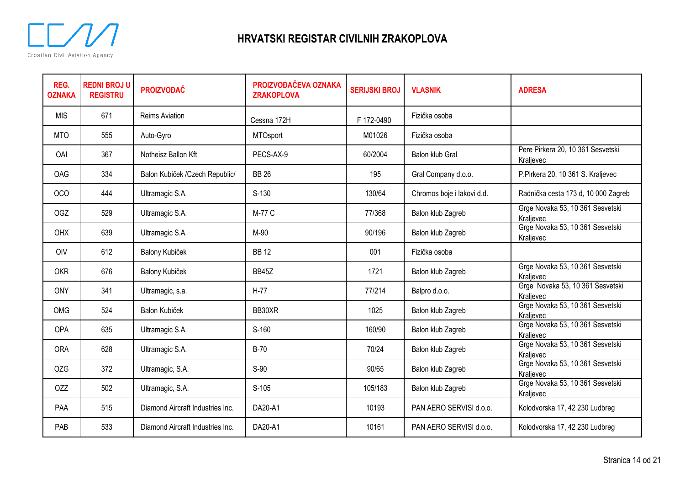

| REG.<br><b>OZNAKA</b> | <b>REDNI BROJ U</b><br><b>REGISTRU</b> | <b>PROIZVOĐAČ</b>                | PROIZVOĐAČEVA OZNAKA<br><b>ZRAKOPLOVA</b> | <b>SERIJSKI BROJ</b> | <b>VLASNIK</b>             | <b>ADRESA</b>                                  |
|-----------------------|----------------------------------------|----------------------------------|-------------------------------------------|----------------------|----------------------------|------------------------------------------------|
| <b>MIS</b>            | 671                                    | <b>Reims Aviation</b>            | Cessna 172H                               | F 172-0490           | Fizička osoba              |                                                |
| <b>MTO</b>            | 555                                    | Auto-Gyro                        | MTOsport                                  | M01026               | Fizička osoba              |                                                |
| OAI                   | 367                                    | Notheisz Ballon Kft              | PECS-AX-9                                 | 60/2004              | Balon klub Gral            | Pere Pirkera 20, 10 361 Sesvetski<br>Kraljevec |
| <b>OAG</b>            | 334                                    | Balon Kubiček /Czech Republic/   | <b>BB 26</b>                              | 195                  | Gral Company d.o.o.        | P.Pirkera 20, 10 361 S. Kraljevec              |
| <b>OCO</b>            | 444                                    | Ultramagic S.A.                  | $S-130$                                   | 130/64               | Chromos boje i lakovi d.d. | Radnička cesta 173 d, 10 000 Zagreb            |
| OGZ                   | 529                                    | Ultramagic S.A.                  | M-77 C                                    | 77/368               | Balon klub Zagreb          | Grge Novaka 53, 10 361 Sesvetski<br>Kraljevec  |
| <b>OHX</b>            | 639                                    | Ultramagic S.A.                  | M-90                                      | 90/196               | Balon klub Zagreb          | Grge Novaka 53, 10 361 Sesvetski<br>Kraljevec  |
| <b>OIV</b>            | 612                                    | Balony Kubiček                   | <b>BB12</b>                               | 001                  | Fizička osoba              |                                                |
| <b>OKR</b>            | 676                                    | Balony Kubiček                   | <b>BB45Z</b>                              | 1721                 | Balon klub Zagreb          | Grge Novaka 53, 10 361 Sesvetski<br>Kraljevec  |
| <b>ONY</b>            | 341                                    | Ultramagic, s.a.                 | $H-77$                                    | 77/214               | Balpro d.o.o.              | Grge Novaka 53, 10 361 Sesvetski<br>Kraljevec  |
| <b>OMG</b>            | 524                                    | Balon Kubiček                    | BB30XR                                    | 1025                 | Balon klub Zagreb          | Grge Novaka 53, 10 361 Sesvetski<br>Kraljevec  |
| OPA                   | 635                                    | Ultramagic S.A.                  | $S-160$                                   | 160/90               | Balon klub Zagreb          | Grge Novaka 53, 10 361 Sesvetski<br>Kraljevec  |
| <b>ORA</b>            | 628                                    | Ultramagic S.A.                  | <b>B-70</b>                               | 70/24                | Balon klub Zagreb          | Grge Novaka 53, 10 361 Sesvetski<br>Kralievec  |
| <b>OZG</b>            | 372                                    | Ultramagic, S.A.                 | S-90                                      | 90/65                | Balon klub Zagreb          | Grge Novaka 53, 10 361 Sesvetski<br>Kraljevec  |
| <b>OZZ</b>            | 502                                    | Ultramagic, S.A.                 | $S-105$                                   | 105/183              | Balon klub Zagreb          | Grge Novaka 53, 10 361 Sesvetski<br>Kraljevec  |
| PAA                   | 515                                    | Diamond Aircraft Industries Inc. | DA20-A1                                   | 10193                | PAN AERO SERVISI d.o.o.    | Kolodvorska 17, 42 230 Ludbreg                 |
| PAB                   | 533                                    | Diamond Aircraft Industries Inc. | DA20-A1                                   | 10161                | PAN AERO SERVISI d.o.o.    | Kolodvorska 17, 42 230 Ludbreg                 |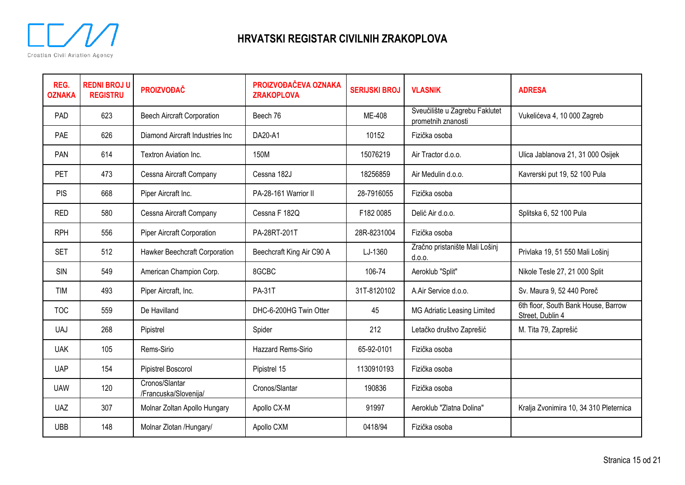

| REG.<br><b>OZNAKA</b> | <b>REDNI BROJ U</b><br><b>REGISTRU</b> | <b>PROIZVOĐAČ</b>                       | PROIZVOĐAČEVA OZNAKA<br><b>ZRAKOPLOVA</b> | <b>SERIJSKI BROJ</b> | <b>VLASNIK</b>                                       | <b>ADRESA</b>                                           |
|-----------------------|----------------------------------------|-----------------------------------------|-------------------------------------------|----------------------|------------------------------------------------------|---------------------------------------------------------|
| PAD                   | 623                                    | <b>Beech Aircraft Corporation</b>       | Beech 76                                  | ME-408               | Sveučilište u Zagrebu Faklutet<br>prometnih znanosti | Vukelićeva 4, 10 000 Zagreb                             |
| PAE                   | 626                                    | Diamond Aircraft Industries Inc         | DA20-A1                                   | 10152                | Fizička osoba                                        |                                                         |
| PAN                   | 614                                    | Textron Aviation Inc.                   | 150M                                      | 15076219             | Air Tractor d.o.o.                                   | Ulica Jablanova 21, 31 000 Osijek                       |
| <b>PET</b>            | 473                                    | Cessna Aircraft Company                 | Cessna 182J                               | 18256859             | Air Medulin d.o.o.                                   | Kavrerski put 19, 52 100 Pula                           |
| <b>PIS</b>            | 668                                    | Piper Aircraft Inc.                     | PA-28-161 Warrior II                      | 28-7916055           | Fizička osoba                                        |                                                         |
| <b>RED</b>            | 580                                    | Cessna Aircraft Company                 | Cessna F 182Q                             | F182 0085            | Delić Air d.o.o.                                     | Splitska 6, 52 100 Pula                                 |
| <b>RPH</b>            | 556                                    | <b>Piper Aircraft Corporation</b>       | PA-28RT-201T                              | 28R-8231004          | Fizička osoba                                        |                                                         |
| <b>SET</b>            | 512                                    | Hawker Beechcraft Corporation           | Beechcraft King Air C90 A                 | LJ-1360              | Zračno pristanište Mali Lošinj<br>d.o.o.             | Privlaka 19, 51 550 Mali Lošinj                         |
| <b>SIN</b>            | 549                                    | American Champion Corp.                 | 8GCBC                                     | 106-74               | Aeroklub "Split"                                     | Nikole Tesle 27, 21 000 Split                           |
| TIM                   | 493                                    | Piper Aircraft, Inc.                    | <b>PA-31T</b>                             | 31T-8120102          | A.Air Service d.o.o.                                 | Sv. Maura 9, 52 440 Poreč                               |
| <b>TOC</b>            | 559                                    | De Havilland                            | DHC-6-200HG Twin Otter                    | 45                   | MG Adriatic Leasing Limited                          | 6th floor, South Bank House, Barrow<br>Street, Dublin 4 |
| <b>UAJ</b>            | 268                                    | Pipistrel                               | Spider                                    | 212                  | Letačko društvo Zaprešić                             | M. Tita 79, Zaprešić                                    |
| <b>UAK</b>            | 105                                    | Rems-Sirio                              | Hazzard Rems-Sirio                        | 65-92-0101           | Fizička osoba                                        |                                                         |
| <b>UAP</b>            | 154                                    | Pipistrel Boscorol                      | Pipistrel 15                              | 1130910193           | Fizička osoba                                        |                                                         |
| <b>UAW</b>            | 120                                    | Cronos/Slantar<br>/Francuska/Slovenija/ | Cronos/Slantar                            | 190836               | Fizička osoba                                        |                                                         |
| <b>UAZ</b>            | 307                                    | Molnar Zoltan Apollo Hungary            | Apollo CX-M                               | 91997                | Aeroklub "Zlatna Dolina"                             | Kralja Zvonimira 10, 34 310 Pleternica                  |
| <b>UBB</b>            | 148                                    | Molnar Zlotan /Hungary/                 | Apollo CXM                                | 0418/94              | Fizička osoba                                        |                                                         |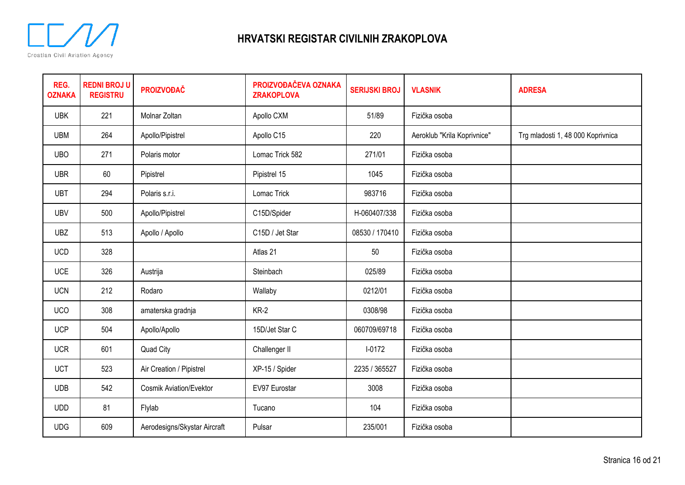

| REG.<br><b>OZNAKA</b> | <b>REDNI BROJ U</b><br><b>REGISTRU</b> | <b>PROIZVOĐAČ</b>              | PROIZVOĐAČEVA OZNAKA<br><b>ZRAKOPLOVA</b> | <b>SERIJSKI BROJ</b> | <b>VLASNIK</b>              | <b>ADRESA</b>                     |
|-----------------------|----------------------------------------|--------------------------------|-------------------------------------------|----------------------|-----------------------------|-----------------------------------|
| <b>UBK</b>            | 221                                    | Molnar Zoltan                  | Apollo CXM                                | 51/89                | Fizička osoba               |                                   |
| <b>UBM</b>            | 264                                    | Apollo/Pipistrel               | Apollo C15                                | 220                  | Aeroklub "Krila Koprivnice" | Trg mladosti 1, 48 000 Koprivnica |
| <b>UBO</b>            | 271                                    | Polaris motor                  | Lomac Trick 582                           | 271/01               | Fizička osoba               |                                   |
| <b>UBR</b>            | 60                                     | Pipistrel                      | Pipistrel 15                              | 1045                 | Fizička osoba               |                                   |
| <b>UBT</b>            | 294                                    | Polaris s.r.i.                 | Lomac Trick                               | 983716               | Fizička osoba               |                                   |
| <b>UBV</b>            | 500                                    | Apollo/Pipistrel               | C15D/Spider                               | H-060407/338         | Fizička osoba               |                                   |
| <b>UBZ</b>            | 513                                    | Apollo / Apollo                | C15D / Jet Star                           | 08530 / 170410       | Fizička osoba               |                                   |
| <b>UCD</b>            | 328                                    |                                | Atlas 21                                  | 50                   | Fizička osoba               |                                   |
| <b>UCE</b>            | 326                                    | Austrija                       | Steinbach                                 | 025/89               | Fizička osoba               |                                   |
| <b>UCN</b>            | 212                                    | Rodaro                         | Wallaby                                   | 0212/01              | Fizička osoba               |                                   |
| <b>UCO</b>            | 308                                    | amaterska gradnja              | $KR-2$                                    | 0308/98              | Fizička osoba               |                                   |
| <b>UCP</b>            | 504                                    | Apollo/Apollo                  | 15D/Jet Star C                            | 060709/69718         | Fizička osoba               |                                   |
| <b>UCR</b>            | 601                                    | Quad City                      | Challenger II                             | $I - 0172$           | Fizička osoba               |                                   |
| <b>UCT</b>            | 523                                    | Air Creation / Pipistrel       | XP-15 / Spider                            | 2235 / 365527        | Fizička osoba               |                                   |
| <b>UDB</b>            | 542                                    | <b>Cosmik Aviation/Evektor</b> | EV97 Eurostar                             | 3008                 | Fizička osoba               |                                   |
| <b>UDD</b>            | 81                                     | Flylab                         | Tucano                                    | 104                  | Fizička osoba               |                                   |
| <b>UDG</b>            | 609                                    | Aerodesigns/Skystar Aircraft   | Pulsar                                    | 235/001              | Fizička osoba               |                                   |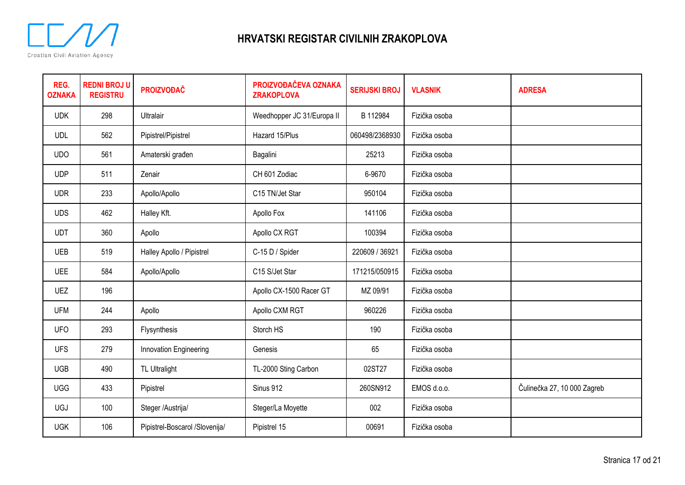

| REG.<br><b>OZNAKA</b> | <b>REDNI BROJ U</b><br><b>REGISTRU</b> | <b>PROIZVOĐAČ</b>              | PROIZVOĐAČEVA OZNAKA<br><b>ZRAKOPLOVA</b> | <b>SERIJSKI BROJ</b> | <b>VLASNIK</b> | <b>ADRESA</b>               |
|-----------------------|----------------------------------------|--------------------------------|-------------------------------------------|----------------------|----------------|-----------------------------|
| <b>UDK</b>            | 298                                    | Ultralair                      | Weedhopper JC 31/Europa II                | B 112984             | Fizička osoba  |                             |
| <b>UDL</b>            | 562                                    | Pipistrel/Pipistrel            | Hazard 15/Plus                            | 060498/2368930       | Fizička osoba  |                             |
| <b>UDO</b>            | 561                                    | Amaterski građen               | Bagalini                                  | 25213                | Fizička osoba  |                             |
| <b>UDP</b>            | 511                                    | Zenair                         | CH 601 Zodiac                             | 6-9670               | Fizička osoba  |                             |
| <b>UDR</b>            | 233                                    | Apollo/Apollo                  | C <sub>15</sub> TN/Jet Star               | 950104               | Fizička osoba  |                             |
| <b>UDS</b>            | 462                                    | Halley Kft.                    | Apollo Fox                                | 141106               | Fizička osoba  |                             |
| <b>UDT</b>            | 360                                    | Apollo                         | Apollo CX RGT                             | 100394               | Fizička osoba  |                             |
| <b>UEB</b>            | 519                                    | Halley Apollo / Pipistrel      | C-15 D / Spider                           | 220609 / 36921       | Fizička osoba  |                             |
| <b>UEE</b>            | 584                                    | Apollo/Apollo                  | C15 S/Jet Star                            | 171215/050915        | Fizička osoba  |                             |
| <b>UEZ</b>            | 196                                    |                                | Apollo CX-1500 Racer GT                   | MZ 09/91             | Fizička osoba  |                             |
| <b>UFM</b>            | 244                                    | Apollo                         | Apollo CXM RGT                            | 960226               | Fizička osoba  |                             |
| <b>UFO</b>            | 293                                    | Flysynthesis                   | Storch HS                                 | 190                  | Fizička osoba  |                             |
| <b>UFS</b>            | 279                                    | Innovation Engineering         | Genesis                                   | 65                   | Fizička osoba  |                             |
| <b>UGB</b>            | 490                                    | <b>TL Ultralight</b>           | TL-2000 Sting Carbon                      | 02ST27               | Fizička osoba  |                             |
| <b>UGG</b>            | 433                                    | Pipistrel                      | Sinus 912                                 | 260SN912             | EMOS d.o.o.    | Čulinečka 27, 10 000 Zagreb |
| <b>UGJ</b>            | 100                                    | Steger /Austrija/              | Steger/La Moyette                         | 002                  | Fizička osoba  |                             |
| <b>UGK</b>            | 106                                    | Pipistrel-Boscarol /Slovenija/ | Pipistrel 15                              | 00691                | Fizička osoba  |                             |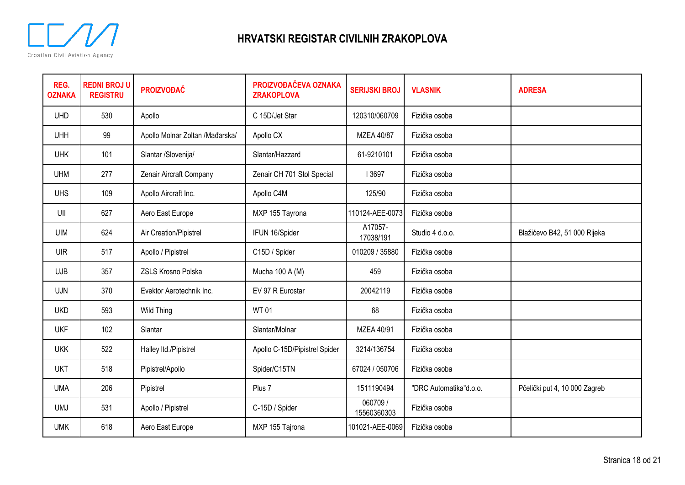

| REG.<br><b>OZNAKA</b> | <b>REDNI BROJ U</b><br><b>REGISTRU</b> | <b>PROIZVOĐAČ</b>               | PROIZVOĐAČEVA OZNAKA<br><b>ZRAKOPLOVA</b> | <b>SERIJSKI BROJ</b>   | <b>VLASNIK</b>         | <b>ADRESA</b>                 |
|-----------------------|----------------------------------------|---------------------------------|-------------------------------------------|------------------------|------------------------|-------------------------------|
| <b>UHD</b>            | 530                                    | Apollo                          | C 15D/Jet Star                            | 120310/060709          | Fizička osoba          |                               |
| <b>UHH</b>            | 99                                     | Apollo Molnar Zoltan /Mađarska/ | Apollo CX                                 | MZEA 40/87             | Fizička osoba          |                               |
| <b>UHK</b>            | 101                                    | Slantar /Slovenija/             | Slantar/Hazzard                           | 61-9210101             | Fizička osoba          |                               |
| <b>UHM</b>            | 277                                    | Zenair Aircraft Company         | Zenair CH 701 Stol Special                | I 3697                 | Fizička osoba          |                               |
| <b>UHS</b>            | 109                                    | Apollo Aircraft Inc.            | Apollo C4M                                | 125/90                 | Fizička osoba          |                               |
| UII                   | 627                                    | Aero East Europe                | MXP 155 Tayrona                           | 110124-AEE-0073        | Fizička osoba          |                               |
| <b>UIM</b>            | 624                                    | Air Creation/Pipistrel          | IFUN 16/Spider                            | A17057-<br>17038/191   | Studio 4 d.o.o.        | Blažićevo B42, 51 000 Rijeka  |
| <b>UIR</b>            | 517                                    | Apollo / Pipistrel              | C15D / Spider                             | 010209 / 35880         | Fizička osoba          |                               |
| <b>UJB</b>            | 357                                    | ZSLS Krosno Polska              | Mucha 100 A (M)                           | 459                    | Fizička osoba          |                               |
| <b>UJN</b>            | 370                                    | Evektor Aerotechnik Inc.        | EV 97 R Eurostar                          | 20042119               | Fizička osoba          |                               |
| <b>UKD</b>            | 593                                    | <b>Wild Thing</b>               | <b>WT01</b>                               | 68                     | Fizička osoba          |                               |
| <b>UKF</b>            | 102                                    | Slantar                         | Slantar/Molnar                            | MZEA 40/91             | Fizička osoba          |                               |
| <b>UKK</b>            | 522                                    | Halley Itd./Pipistrel           | Apollo C-15D/Pipistrel Spider             | 3214/136754            | Fizička osoba          |                               |
| <b>UKT</b>            | 518                                    | Pipistrel/Apollo                | Spider/C15TN                              | 67024 / 050706         | Fizička osoba          |                               |
| <b>UMA</b>            | 206                                    | Pipistrel                       | Plus 7                                    | 1511190494             | "DRC Automatika"d.o.o. | Pčelički put 4, 10 000 Zagreb |
| <b>UMJ</b>            | 531                                    | Apollo / Pipistrel              | C-15D / Spider                            | 060709/<br>15560360303 | Fizička osoba          |                               |
| <b>UMK</b>            | 618                                    | Aero East Europe                | MXP 155 Tajrona                           | 101021-AEE-0069        | Fizička osoba          |                               |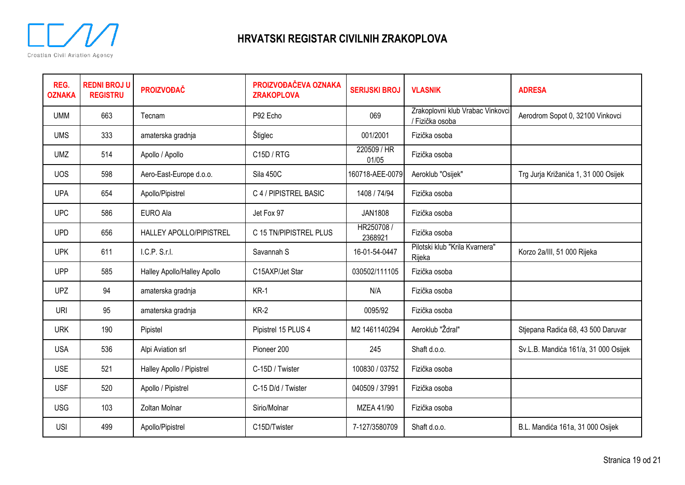

| REG.<br><b>OZNAKA</b> | <b>REDNI BROJ U</b><br><b>REGISTRU</b> | <b>PROIZVOĐAČ</b>           | PROIZVOĐAČEVA OZNAKA<br><b>ZRAKOPLOVA</b> | <b>SERIJSKI BROJ</b>  | <b>VLASNIK</b>                                    | <b>ADRESA</b>                        |
|-----------------------|----------------------------------------|-----------------------------|-------------------------------------------|-----------------------|---------------------------------------------------|--------------------------------------|
| <b>UMM</b>            | 663                                    | Tecnam                      | P92 Echo                                  | 069                   | Zrakoplovni klub Vrabac Vinkovci<br>Fizička osoba | Aerodrom Sopot 0, 32100 Vinkovci     |
| <b>UMS</b>            | 333                                    | amaterska gradnja           | Štiglec                                   | 001/2001              | Fizička osoba                                     |                                      |
| <b>UMZ</b>            | 514                                    | Apollo / Apollo             | C <sub>15</sub> D / RTG                   | 220509 / HR<br>01/05  | Fizička osoba                                     |                                      |
| <b>UOS</b>            | 598                                    | Aero-East-Europe d.o.o.     | Sila 450C                                 | 160718-AEE-0079       | Aeroklub "Osijek"                                 | Trg Jurja Križanića 1, 31 000 Osijek |
| <b>UPA</b>            | 654                                    | Apollo/Pipistrel            | C 4 / PIPISTREL BASIC                     | 1408 / 74/94          | Fizička osoba                                     |                                      |
| <b>UPC</b>            | 586                                    | <b>EURO Ala</b>             | Jet Fox 97                                | <b>JAN1808</b>        | Fizička osoba                                     |                                      |
| <b>UPD</b>            | 656                                    | HALLEY APOLLO/PIPISTREL     | C 15 TN/PIPISTREL PLUS                    | HR250708 /<br>2368921 | Fizička osoba                                     |                                      |
| <b>UPK</b>            | 611                                    | I.C.P. S.r.I.               | Savannah S                                | 16-01-54-0447         | Pilotski klub "Krila Kvarnera"<br>Rijeka          | Korzo 2a/III, 51 000 Rijeka          |
| <b>UPP</b>            | 585                                    | Halley Apollo/Halley Apollo | C15AXP/Jet Star                           | 030502/111105         | Fizička osoba                                     |                                      |
| <b>UPZ</b>            | 94                                     | amaterska gradnja           | $KR-1$                                    | N/A                   | Fizička osoba                                     |                                      |
| <b>URI</b>            | 95                                     | amaterska gradnja           | $KR-2$                                    | 0095/92               | Fizička osoba                                     |                                      |
| <b>URK</b>            | 190                                    | Pipistel                    | Pipistrel 15 PLUS 4                       | M2 1461140294         | Aeroklub "Ždral"                                  | Stjepana Radića 68, 43 500 Daruvar   |
| <b>USA</b>            | 536                                    | Alpi Aviation srl           | Pioneer 200                               | 245                   | Shaft d.o.o.                                      | Sv.L.B. Mandića 161/a, 31 000 Osijek |
| <b>USE</b>            | 521                                    | Halley Apollo / Pipistrel   | C-15D / Twister                           | 100830 / 03752        | Fizička osoba                                     |                                      |
| <b>USF</b>            | 520                                    | Apollo / Pipistrel          | C-15 D/d / Twister                        | 040509 / 37991        | Fizička osoba                                     |                                      |
| <b>USG</b>            | 103                                    | Zoltan Molnar               | Sirio/Molnar                              | MZEA 41/90            | Fizička osoba                                     |                                      |
| <b>USI</b>            | 499                                    | Apollo/Pipistrel            | C15D/Twister                              | 7-127/3580709         | Shaft d.o.o.                                      | B.L. Mandića 161a, 31 000 Osijek     |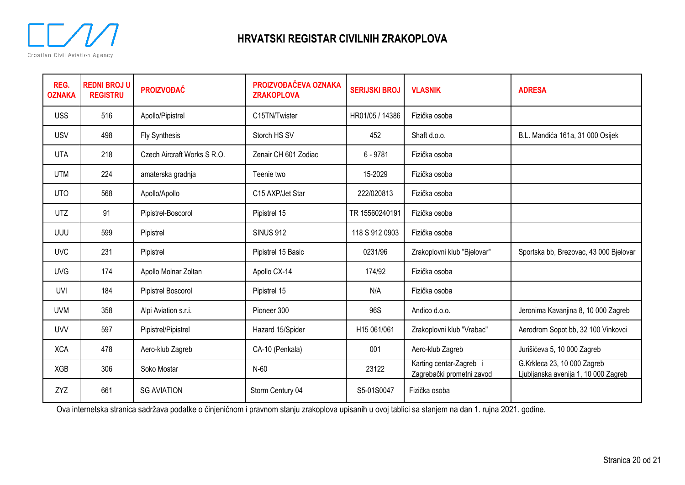

| REG.<br><b>OZNAKA</b> | <b>REDNI BROJ U</b><br><b>REGISTRU</b> | <b>PROIZVOĐAČ</b>           | PROIZVOĐAČEVA OZNAKA<br><b>ZRAKOPLOVA</b> | <b>SERIJSKI BROJ</b> | <b>VLASNIK</b>                                     | <b>ADRESA</b>                                                       |
|-----------------------|----------------------------------------|-----------------------------|-------------------------------------------|----------------------|----------------------------------------------------|---------------------------------------------------------------------|
| <b>USS</b>            | 516                                    | Apollo/Pipistrel            | C15TN/Twister                             | HR01/05 / 14386      | Fizička osoba                                      |                                                                     |
| <b>USV</b>            | 498                                    | <b>Fly Synthesis</b>        | Storch HS SV                              | 452                  | Shaft d.o.o.                                       | B.L. Mandića 161a, 31 000 Osijek                                    |
| <b>UTA</b>            | 218                                    | Czech Aircraft Works S R.O. | Zenair CH 601 Zodiac                      | $6 - 9781$           | Fizička osoba                                      |                                                                     |
| <b>UTM</b>            | 224                                    | amaterska gradnja           | Teenie two                                | 15-2029              | Fizička osoba                                      |                                                                     |
| <b>UTO</b>            | 568                                    | Apollo/Apollo               | C <sub>15</sub> AXP/Jet Star              | 222/020813           | Fizička osoba                                      |                                                                     |
| <b>UTZ</b>            | 91                                     | Pipistrel-Boscorol          | Pipistrel 15                              | TR 15560240191       | Fizička osoba                                      |                                                                     |
| UUU                   | 599                                    | Pipistrel                   | <b>SINUS 912</b>                          | 118 S 912 0903       | Fizička osoba                                      |                                                                     |
| <b>UVC</b>            | 231                                    | Pipistrel                   | Pipistrel 15 Basic                        | 0231/96              | Zrakoplovni klub "Bjelovar"                        | Sportska bb, Brezovac, 43 000 Bjelovar                              |
| <b>UVG</b>            | 174                                    | Apollo Molnar Zoltan        | Apollo CX-14                              | 174/92               | Fizička osoba                                      |                                                                     |
| UVI                   | 184                                    | Pipistrel Boscorol          | Pipistrel 15                              | N/A                  | Fizička osoba                                      |                                                                     |
| <b>UVM</b>            | 358                                    | Alpi Aviation s.r.i.        | Pioneer 300                               | 96S                  | Andico d.o.o.                                      | Jeronima Kavanjina 8, 10 000 Zagreb                                 |
| <b>UVV</b>            | 597                                    | Pipistrel/Pipistrel         | Hazard 15/Spider                          | H15 061/061          | Zrakoplovni klub "Vrabac"                          | Aerodrom Sopot bb, 32 100 Vinkovci                                  |
| <b>XCA</b>            | 478                                    | Aero-klub Zagreb            | CA-10 (Penkala)                           | 001                  | Aero-klub Zagreb                                   | Jurišićeva 5, 10 000 Zagreb                                         |
| <b>XGB</b>            | 306                                    | Soko Mostar                 | N-60                                      | 23122                | Karting centar-Zagreb<br>Zagrebački prometni zavod | G.Krkleca 23, 10 000 Zagreb<br>Ljubljanska avenija 1, 10 000 Zagreb |
| ZYZ                   | 661                                    | <b>SG AVIATION</b>          | Storm Century 04                          | S5-01S0047           | Fizička osoba                                      |                                                                     |

Ova internetska stranica sadržava podatke o činjeničnom i pravnom stanju zrakoplova upisanih u ovoj tablici sa stanjem na dan 1. rujna 2021. godine.